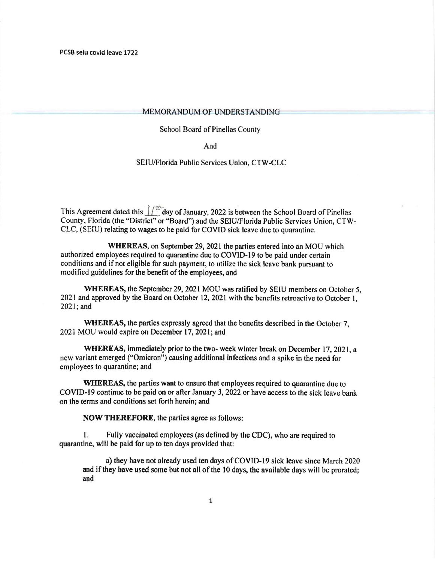## MEMORANDUM OF UNDERSTANDING

School Board of Pinellas County

And

## SEIU/Florida Public Services Union, CTW-CLC

This Agreement dated this  $1/\sqrt{16}$  day of January, 2022 is between the School Board of Pinellas County, Florida (the "District" or "Board") and the SEIU/Florida Public Services Union, CTW-CLC, (SEIU) relating to wages to be paid for COVID sick leave due to quarantine.

WHEREAS, on September 29, 2021 the parties entered into an MOU which authorized employees required to quarantine due to COVID-19 to be paid under certain conditions and if not eligible for such payment, to utilize the sick leave bank pursuant to modified guidelines for the benefit of the employees, and

WHEREAS, the September 29, 2021 MOU was ratified by SEIU members on October 5, 2021 and approved by the Board on October 12, 2021 with the benefits retroactive to October 1, 2021;and

WHEREAS, the parties expressly agreed that the benefits described in the October 7, 2021 MOU would expire on December 17, 2021; and

WHEREAS, immediately prior to the two- week winter break on December 17, 2021, a new variant emerged ("Omicron") causing additional infections and a spike in the need for employees to quarantine; and

WHEREAS, the parties want to ensure that employees required to quarantine due to COVID-19 continue to be paid on or after January 3,2022 or have access to the sick leave bank on the terms and conditions set forth herein; and

NOW THEREFORE, the parties agree as follows:

1. Fully vaccinated employees (as defined by the CDC), who are required to quarantine, will be paid for up to ten days provided that:

a) they have not already used ten days of COVID-19 sick leave since March 2020 and if they have used some but not all of the 10 days, the available days will be prorated; and